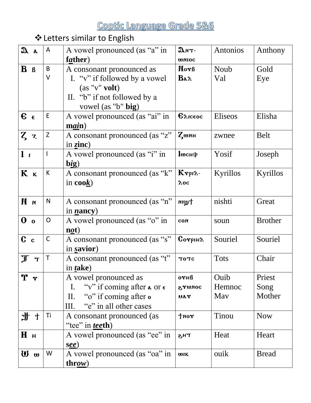# ❖Letters similar to English

| $x_a$                                  | A           | A vowel pronounced (as "a" in                                | $\mathfrak{D}$ nT-         | Antonios    | Anthony        |
|----------------------------------------|-------------|--------------------------------------------------------------|----------------------------|-------------|----------------|
|                                        |             | father)                                                      | <b>WNIOC</b>               |             |                |
| $\mathbf{B}$ $\mathbf{B}$              | B           | A consonant pronounced as                                    | Nor <sub>B</sub>           | Noub        | Gold           |
|                                        | V           | I. "v" if followed by a vowel                                | $\mathbf{Ba} \lambda$      | Val         | Eye            |
|                                        |             | $(as "v"$ volt)                                              |                            |             |                |
|                                        |             | II. "b" if not followed by a                                 |                            |             |                |
|                                        |             | vowel (as "b" big)                                           |                            |             |                |
| $\epsilon$                             | E           | A vowel pronounced (as "ai" in                               | $\epsilon_{\text{Aiceoc}}$ | Eliseos     | Elisha         |
|                                        |             | $\mathbf{main}$ )                                            |                            |             |                |
| $Z$ z                                  | Z           | A consonant pronounced (as "z"                               | <b>Z</b> шин               | zwnee       | <b>Belt</b>    |
|                                        |             | in $\text{zinc}$ )                                           |                            |             |                |
| l <sub>i</sub>                         |             | A vowel pronounced (as "i" in                                | $\mathbf{u}$ снф           | Yosif       | Joseph         |
|                                        |             | big)                                                         |                            |             |                |
| K <sub>K</sub>                         | K           | A consonant pronounced (as "k"                               | $K$ rpi $\lambda$ -        | Kyrillos    | Kyrillos       |
|                                        |             | in $\mathbf{cook}$ )                                         | $\lambda$ oc               |             |                |
|                                        |             |                                                              |                            |             |                |
| n M                                    | N           | A consonant pronounced (as "n"                               | twin                       | nishti      | Great          |
|                                        |             | in <i>n</i> ancy)                                            |                            |             |                |
| $\mathbf{0}$ o                         | O           | A vowel pronounced (as "o" in                                | CON                        | soun        | <b>Brother</b> |
|                                        |             | $n\rho(t)$                                                   |                            |             |                |
| c                                      | $\mathsf C$ | A consonant pronounced (as "s"                               | $G$                        | Souriel     | Souriel        |
|                                        |             | in savior)                                                   |                            |             |                |
| $\mathbb T$<br>$\mathbf{T}$            | Τ           | A consonant pronounced (as "t"                               | <b>TOTC</b>                | <b>Tots</b> | Chair          |
|                                        |             | in <i>t</i> ake)                                             |                            |             |                |
| $\mathbf{\hat{r}}$<br>$\boldsymbol{r}$ |             | A vowel pronounced as                                        | $0$ $\gamma$ $H\beta$      | Ouib        | Priest         |
|                                        |             | "v" if coming after $\alpha$ or $\epsilon$<br>$\mathbf{I}$ . | SUNDC                      | Hemnoc      | Song           |
|                                        |             | "o" if coming after o<br>$\prod$ .                           | uar                        | May         | Mother         |
|                                        |             | "e" in all other cases<br>Ш.                                 |                            |             |                |
| 山<br>上<br>十                            | Τi          | A consonant pronounced (as                                   | tan                        | Tinou       | <b>Now</b>     |
|                                        |             | "tee" in <i>tee</i> th)                                      |                            |             |                |
| Hн                                     |             | A vowel pronounced (as "ee" in                               | тн $\boldsymbol{s}$        | Heat        | Heart          |
|                                        |             | ( <b>see</b> )                                               |                            |             |                |
| $\boldsymbol{w}$ $\boldsymbol{\omega}$ | W           | A vowel pronounced (as "oa" in                               | <b>WIK</b>                 | ouik        | <b>Bread</b>   |
|                                        |             | throw)                                                       |                            |             |                |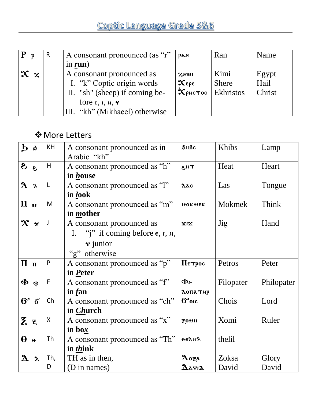| $P_p$               | R | A consonant pronounced (as "r"                       | pan                                            | Ran              | Name   |
|---------------------|---|------------------------------------------------------|------------------------------------------------|------------------|--------|
|                     |   | in $run)$                                            |                                                |                  |        |
| $\mathbf{x} \times$ |   | A consonant pronounced as                            | $x$ нии                                        | Kimi             | Egypt  |
|                     |   | I. "k" Coptic origin words                           | $\mathbf{\chi}_{\epsilon \mathrm{p} \epsilon}$ | <b>Shere</b>     | Hail   |
|                     |   | II. "sh" (sheep) if coming be-                       | $\mathbf{\dot{x}}$ рнстос                      | <b>Ekhristos</b> | Christ |
|                     |   | fore $\epsilon$ , <i>i</i> , <i>н</i> , $\mathbf{r}$ |                                                |                  |        |
|                     |   | "kh" (Mikhaeel) otherwise<br>Ш.                      |                                                |                  |        |

### ❖More Letters

| $\mathbf{b}$ s                    | KH                 | A consonant pronounced as in<br>Arabic "kh"                                                                                       | <b>ФНВс</b>                                                           | Khibs          | Lamp           |
|-----------------------------------|--------------------|-----------------------------------------------------------------------------------------------------------------------------------|-----------------------------------------------------------------------|----------------|----------------|
| sS                                | H                  | A consonant pronounced as "h"<br>in <i>house</i>                                                                                  | <b>TH<sub>S</sub></b>                                                 | Heat           | Heart          |
| $\lambda$ $\lambda$               | L                  | A consonant pronounced as "l"<br>in look                                                                                          | $\lambda$ ac                                                          | Las            | Tongue         |
| $\mathbf{u}$ $\mathbf{u}$         | M                  | A consonant pronounced as "m"<br>in <i>mother</i>                                                                                 | MOKNEK                                                                | Mokmek         | Think          |
| $\mathbf{x} \times$               | J                  | A consonant pronounced as<br>I. "j" if coming before $\epsilon$ , $\iota$ , $\mu$ ,<br>$\mathbf{\dot{r}}$ junior<br>"g" otherwise | $x_1x$                                                                | Jig            | Hand           |
| $\Pi$ <sub><math>\pi</math></sub> | P                  | A consonant pronounced as "p"<br>in Peter                                                                                         | Петрос                                                                | Petros         | Peter          |
| $\Phi$ $\Phi$                     | F                  | A consonant pronounced as "f"<br>in $f$ an                                                                                        | Фι-<br>λоπатир                                                        | Filopater      | Philopater     |
| $6'$ 6                            | Ch                 | A consonant pronounced as "ch"<br>in <i>Church</i>                                                                                | $6^{\circ}$ <sub>oic</sub>                                            | Chois          | Lord           |
| Zξ                                | $\pmb{\mathsf{X}}$ | A consonant pronounced as "x"<br>in $\mathbf{box}$                                                                                | <b>ZOUH</b>                                                           | Xomi           | Ruler          |
| $\theta$ $\theta$                 | Th                 | A consonant pronounced as "Th"<br>in <i>think</i>                                                                                 | <b>ФЕЛИЛ</b>                                                          | thelil         |                |
| 2a                                | Th,<br>D           | TH as in then,<br>(D in names)                                                                                                    | $\boldsymbol{\Delta}$ oza<br>$\mathbf{\Delta}$ arı $\mathbf{\lambda}$ | Zoksa<br>David | Glory<br>David |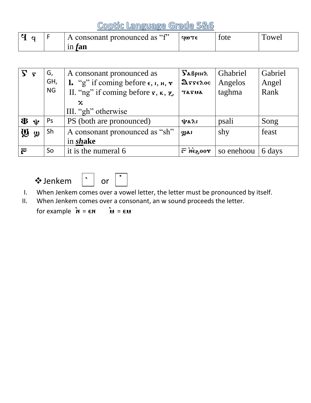Coptic Language Grade 5&6

|  | $\mathsf{A}$ consonant pronounced as "f" | $90T \epsilon$ | tote | 'owel |
|--|------------------------------------------|----------------|------|-------|
|  | $1n$ tan                                 |                |      |       |

|                                     | G,<br>GH,<br><b>NG</b> | A consonant pronounced as<br><b>1.</b> "g" if coming before $\epsilon$ , $\iota$ , $\mu$ , $\tau$<br>II. "ng" if coming before $\mathbf{r}, \mathbf{\kappa}, \mathbf{z}$<br>$\mathbf x$<br>III. "gh" otherwise | $\sum$ $\alpha$ <i>B</i> pi <sub>H</sub> $\lambda$<br>$\mathfrak{g}_{\mathbf{z}\mathbf{z}\mathbf{\epsilon}\mathbf{z}\mathbf{oc}}$<br>TATUA | Ghabriel<br>Angelos<br>taghma | Gabriel<br>Angel<br>Rank |
|-------------------------------------|------------------------|----------------------------------------------------------------------------------------------------------------------------------------------------------------------------------------------------------------|--------------------------------------------------------------------------------------------------------------------------------------------|-------------------------------|--------------------------|
| $\mathbf{\Phi} \cdot \mathbf{\Psi}$ | Ps                     | PS (both are pronounced)                                                                                                                                                                                       | 小みん                                                                                                                                        | psali                         | Song                     |
| $\boldsymbol{\mathsf{W}}$<br>ழு     | Sh                     | A consonant pronounced as "sh"<br>in shake                                                                                                                                                                     | ழுகா                                                                                                                                       | shy                           | feast                    |
| $\bar{\mathcal{E}}$                 | So                     | it is the numeral 6                                                                                                                                                                                            | $\vec{r}$ negoor                                                                                                                           | so enehoou                    | 6 days                   |

❖Jenkem or ; ~



- I. When Jenkem comes over a vowel letter, the letter must be pronounced by itself.
- II. When Jenkem comes over a consonant, an w sound proceeds the letter.

for example  $\boldsymbol{\dot{m}} = \boldsymbol{\epsilon} \boldsymbol{m}$   $\boldsymbol{\dot{m}} = \boldsymbol{\epsilon} \boldsymbol{m}$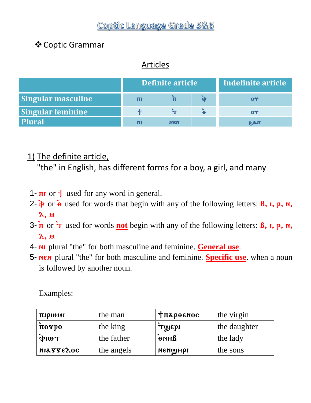### ❖Coptic Grammar

## Articles

|                           | Definite article |            |                       | Indefinite article |
|---------------------------|------------------|------------|-----------------------|--------------------|
| <b>Singular masculine</b> | πι               |            |                       | $\mathbf{0}$       |
| Singular feminine         |                  |            | $\boldsymbol{\Theta}$ | $\mathbf{0}$       |
| <b>Plural</b>             | N!               | <b>NEN</b> |                       | <b>N.S.S</b>       |

### 1) The definite article,

"the" in English, has different forms for a boy, a girl, and many

- 1-  $\pi i$  or  $\dagger$  used for any word in general.
- 2-  $\dot{\phi}$  or  $\dot{\theta}$  used for words that begin with any of the following letters: **B**, **i**, **p**, **n**,  $\lambda$ ,  $\mu$
- 3-  $\overline{\mathbf{n}}$  or  $\overline{\mathbf{v}}$  used for words **not** begin with any of the following letters: **B**, **i**, **p**, **n**,  $\lambda$ ,  $\mu$
- 4- ni plural "the" for both masculine and feminine. **General use**.
- 5- nen plural "the" for both masculine and feminine. **Specific use**. when a noun is followed by another noun.

Examples:

| пірши               | the man    | <b>Тлареемос</b> | the virgin   |
|---------------------|------------|------------------|--------------|
| $\pi$ o $\gamma$ po | the king   | TWEPI            | the daughter |
| $T$ with            | the father | ание             | the lady     |
| <b>ΝΙΑΣΣΕΛΟΣ</b>    | the angels | иеимны           | the sons     |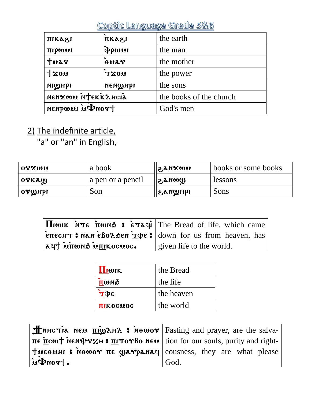| піказі            | пкаги        | the earth               |  |
|-------------------|--------------|-------------------------|--|
| піромі            | <i>Abmme</i> | the man                 |  |
| tuar              | ouar         | the mother              |  |
| 120m              | <b>UOXT</b>  | the power               |  |
| <b>NICHPI</b>     | иеитны       | the sons                |  |
| nenxwu ntekkahcia |              | the books of the church |  |
| trond in women    |              | God's men               |  |

2) The indefinite article,

"a" or "an" in English,

| OTXWU                  | a book            | UNXUA,S          | books or some books |
|------------------------|-------------------|------------------|---------------------|
| orkaQ                  | a pen or a pencil | www.s.l          | lessons             |
| $\sim$ от $\omega$ нрі | Son               | $\mu_{\rm{max}}$ | Sons                |

| $\left \prod_{i} w_{i}K\right $ is $\frac{1}{2} w_{i}$ and $\frac{1}{2} w_{i}$ and $\frac{1}{2} w_{i}$ are $\frac{1}{2} w_{i}$ are $\frac{1}{2} w_{i}$ |                          |
|--------------------------------------------------------------------------------------------------------------------------------------------------------|--------------------------|
| EITECHT: NAN EBOLSEN TODE: down for us from heaven, has                                                                                                |                          |
| aq† ùπωns ù <u>πι</u> κοcuoc.                                                                                                                          | given life to the world. |

| Houk                          | the Bread  |
|-------------------------------|------------|
| $\overline{\mathbf{\Pi}}$ wns | the life   |
| $\Delta \Phi$ £               | the heaven |
| <b>TIKOCHOC</b>               | the world  |

| $\frac{1}{2}$ NHCTIA NEM $\frac{\pi r}{2}$ AHA : Newor Fasting and prayer, are the salva-                     |      |
|---------------------------------------------------------------------------------------------------------------|------|
| $\pi \epsilon$ πεω τ λευθυν και επιτον βο Nεω   tion for our souls, purity and right-                         |      |
| $\pm \mathbf{u} \in \mathbf{u}$ : $\mathbf{v} \in \mathbf{u}$ are $\mathbf{v} \in \mathbf{u}$ are what please |      |
| u Pnort.                                                                                                      | God. |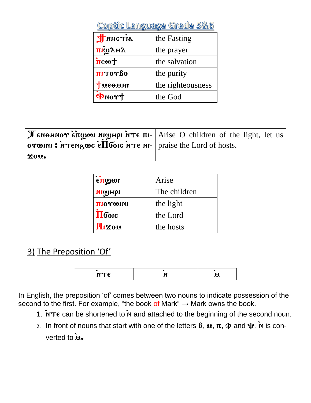| Coptic Language Grade 5&6                   |                   |
|---------------------------------------------|-------------------|
| літэни t                                    | the Fasting       |
| пітуну                                      | the prayer        |
| $\mathbf{\dot{n}}$ cw $\mathbf{\dot{\tau}}$ | the salvation     |
| nitorBo                                     | the purity        |
| Тиеемн                                      | the righteousness |
| $\Phi$ nor†                                 | the God           |

| orwini: $\hat{\mathbf{r}}$ represents $\hat{\mathbf{r}}$ and $\hat{\mathbf{r}}$ and $\hat{\mathbf{r}}$ are $\hat{\mathbf{r}}$ raise the Lord of hosts. | TeneHNOT επιχνοι ΝιωΗρι ήτε πι- Arise O children of the light, let us |
|--------------------------------------------------------------------------------------------------------------------------------------------------------|-----------------------------------------------------------------------|
| XOU.                                                                                                                                                   |                                                                       |

| $\epsilon$ <u>πω</u> ωι | Arise        |
|-------------------------|--------------|
| <b>NICHPI</b>           | The children |
| <b>INTO LOGITI</b>      | the light    |
| $\Pi$ бою               | the Lord     |
| <b>Mixou</b>            | the hosts    |

3) The Preposition 'Of'

| <b>NTC</b><br>.<br>-<br>$\sim$ |  |  |
|--------------------------------|--|--|
|                                |  |  |

In English, the preposition 'of' comes between two nouns to indicate possession of the second to the first. For example, "the book of Mark" → Mark owns the book.

- 1.  $\overline{NTE}$  can be shortened to  $\overline{N}$  and attached to the beginning of the second noun.
- 2. In front of nouns that start with one of the letters  $\beta$ ,  $\mu$ ,  $\pi$ ,  $\Phi$  and  $\psi$ ,  $\dot{M}$  is converted to  $\dot{u}$ .